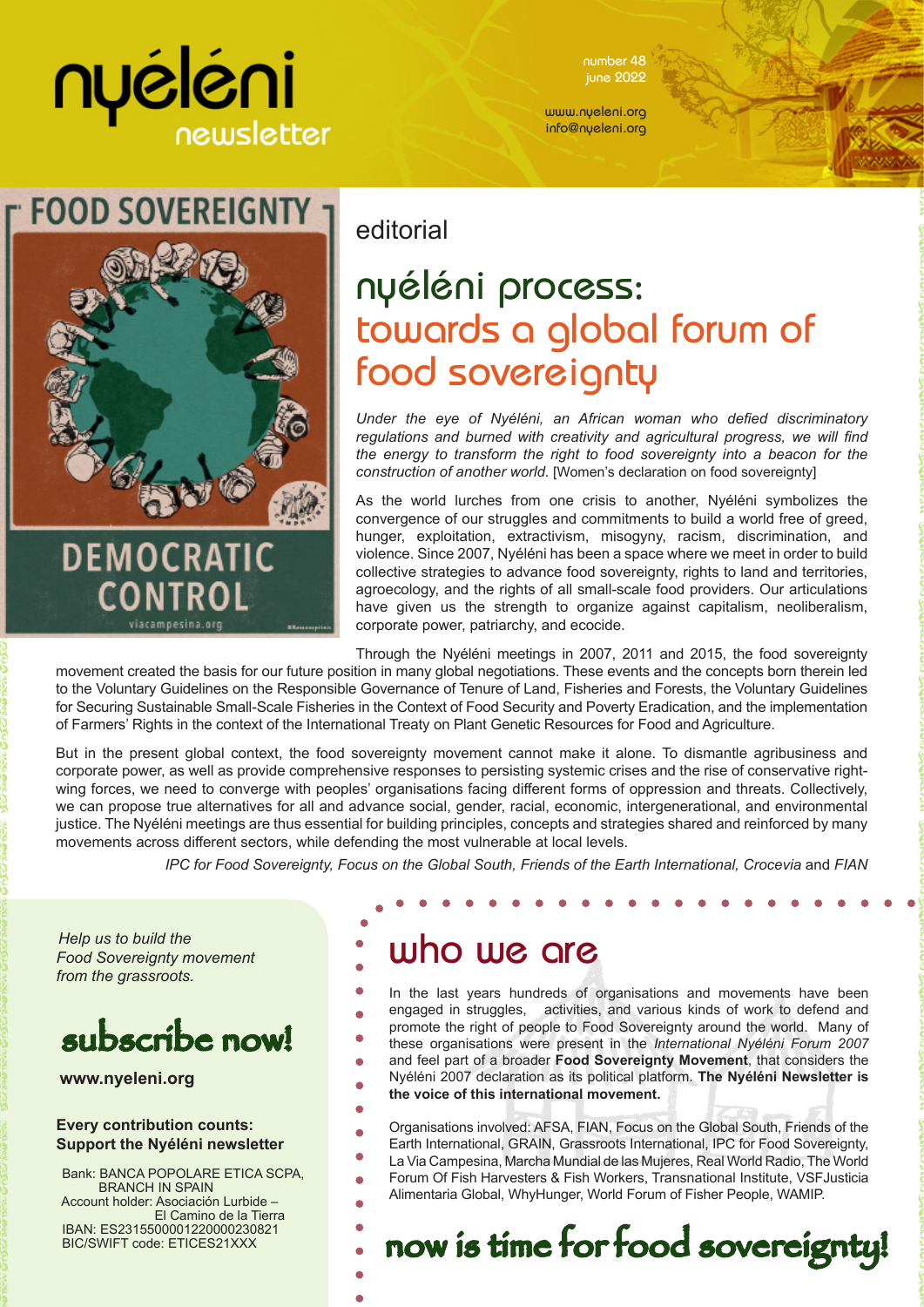# nyéléni newsletter

number 48 june 2022

www.nyeleni.org info@nyeleni.org



### editorial

## nyéléni process: towards a global forum of food sovereignty

*Under the eye of Nyéléni, an African woman who defied discriminatory regulations and burned with creativity and agricultural progress, we will find the energy to transform the right to food sovereignty into a beacon for the construction of another world.* [Women's declaration on food sovereignty]

As the world lurches from one crisis to another, Nyéléni symbolizes the convergence of our struggles and commitments to build a world free of greed, hunger, exploitation, extractivism, misogyny, racism, discrimination, and violence. Since 2007, Nyéléni has been a space where we meet in order to build collective strategies to advance food sovereignty, rights to land and territories, agroecology, and the rights of all small-scale food providers. Our articulations have given us the strength to organize against capitalism, neoliberalism, corporate power, patriarchy, and ecocide.

Through the Nyéléni meetings in 2007, 2011 and 2015, the food sovereignty movement created the basis for our future position in many global negotiations. These events and the concepts born therein led to the Voluntary Guidelines on the Responsible Governance of Tenure of Land, Fisheries and Forests, the Voluntary Guidelines for Securing Sustainable Small-Scale Fisheries in the Context of Food Security and Poverty Eradication, and the implementation of Farmers' Rights in the context of the International Treaty on Plant Genetic Resources for Food and Agriculture.

But in the present global context, the food sovereignty movement cannot make it alone. To dismantle agribusiness and corporate power, as well as provide comprehensive responses to persisting systemic crises and the rise of conservative rightwing forces, we need to converge with peoples' organisations facing different forms of oppression and threats. Collectively, we can propose true alternatives for all and advance social, gender, racial, economic, intergenerational, and environmental justice. The Nyéléni meetings are thus essential for building principles, concepts and strategies shared and reinforced by many movements across different sectors, while defending the most vulnerable at local levels.

*IPC for Food Sovereignty, Focus on the Global South, Friends of the Earth International, Crocevia and FIAN* 

*Help us to build the Food Sovereignty movement from the grassroots.*

## subscribe now!

**www.nyeleni.org**

#### **Every contribution counts: Support the Nyéléni newsletter**

 Bank: BANCA POPOLARE ETICA SCPA, BRANCH IN SPAIN Account holder: Asociación Lurbide – El Camino de la Tierra IBAN: ES2315500001220000230821 BIC/SWIFT code: ETICES21XXX

### who we are

- In the last years hundreds of organisations and movements have been engaged in struggles, activities, and various kinds of work to defend and promote the right of people to Food Sovereignty around the world. Many of ä these organisations were present in the *International Nyéléni Forum 2007*
- and feel part of a broader **Food Sovereignty Movement**, that considers the Nyéléni 2007 declaration as its political platform. **The Nyéléni Newsletter is** 
	- **the voice of this international movement.**
- Organisations involved: AFSA, FIAN, Focus on the Global South, Friends of the Earth International, GRAIN, Grassroots International, IPC for Food Sovereignty,
- La Via Campesina, Marcha Mundial de las Mujeres, Real World Radio, The World
- Forum Of Fish Harvesters & Fish Workers, Transnational Institute, VSFJusticia Alimentaria Global, WhyHunger, World Forum of Fisher People, WAMIP.

now is time for food sovereignty!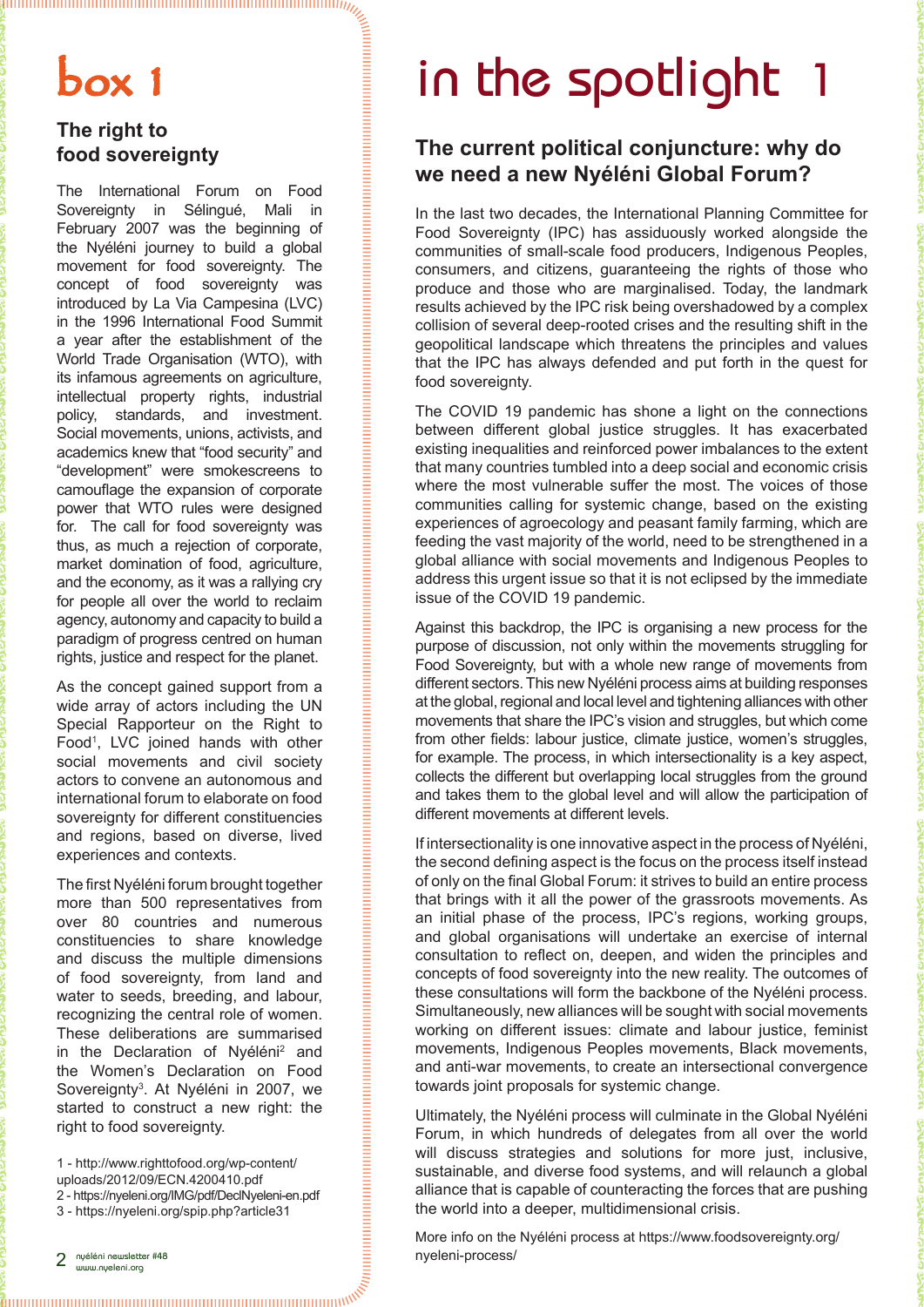## box 1

#### **The right to food sovereignty**

The International Forum on Food Sovereignty in Sélingué, Mali in February 2007 was the beginning of the Nyéléni journey to build a global movement for food sovereignty. The concept of food sovereignty was introduced by La Via Campesina (LVC) in the 1996 International Food Summit a year after the establishment of the World Trade Organisation (WTO), with its infamous agreements on agriculture, intellectual property rights, industrial policy, standards, and investment. Social movements, unions, activists, and academics knew that "food security" and "development" were smokescreens to camouflage the expansion of corporate power that WTO rules were designed for. The call for food sovereignty was thus, as much a rejection of corporate, market domination of food, agriculture, and the economy, as it was a rallying cry for people all over the world to reclaim agency, autonomy and capacity to build a paradigm of progress centred on human rights, justice and respect for the planet.

As the concept gained support from a wide array of actors including the UN Special Rapporteur on the Right to Food<sup>1</sup>, LVC joined hands with other social movements and civil society actors to convene an autonomous and international forum to elaborate on food sovereignty for different constituencies and regions, based on diverse, lived experiences and contexts.

The first Nyéléni forum brought together more than 500 representatives from over 80 countries and numerous constituencies to share knowledge and discuss the multiple dimensions of food sovereignty, from land and water to seeds, breeding, and labour, recognizing the central role of women. These deliberations are summarised in the Declaration of Nyéléni<sup>2</sup> and the Women's Declaration on Food Sovereignty<sup>3</sup>. At Nyéléni in 2007, we started to construct a new right: the right to food sovereignty.

1 - http://www.righttofood.org/wp-content/ uploads/2012/09/ECN.4200410.pdf 2 - https://nyeleni.org/IMG/pdf/DeclNyeleni-en.pdf

3 - https://nyeleni.org/spip.php?article31

# in the spotlight

#### **The current political conjuncture: why do we need a new Nyéléni Global Forum?**

In the last two decades, the International Planning Committee for Food Sovereignty (IPC) has assiduously worked alongside the communities of small-scale food producers, Indigenous Peoples, consumers, and citizens, guaranteeing the rights of those who produce and those who are marginalised. Today, the landmark results achieved by the IPC risk being overshadowed by a complex collision of several deep-rooted crises and the resulting shift in the geopolitical landscape which threatens the principles and values that the IPC has always defended and put forth in the quest for food sovereignty.

The COVID 19 pandemic has shone a light on the connections between different global justice struggles. It has exacerbated existing inequalities and reinforced power imbalances to the extent that many countries tumbled into a deep social and economic crisis where the most vulnerable suffer the most. The voices of those communities calling for systemic change, based on the existing experiences of agroecology and peasant family farming, which are feeding the vast majority of the world, need to be strengthened in a global alliance with social movements and Indigenous Peoples to address this urgent issue so that it is not eclipsed by the immediate issue of the COVID 19 pandemic.

Against this backdrop, the IPC is organising a new process for the purpose of discussion, not only within the movements struggling for Food Sovereignty, but with a whole new range of movements from different sectors. This new Nyéléni process aims at building responses at the global, regional and local level and tightening alliances with other movements that share the IPC's vision and struggles, but which come from other fields: labour justice, climate justice, women's struggles, for example. The process, in which intersectionality is a key aspect, collects the different but overlapping local struggles from the ground and takes them to the global level and will allow the participation of different movements at different levels.

If intersectionality is one innovative aspect in the process of Nyéléni, the second defining aspect is the focus on the process itself instead of only on the final Global Forum: it strives to build an entire process that brings with it all the power of the grassroots movements. As an initial phase of the process, IPC's regions, working groups, and global organisations will undertake an exercise of internal consultation to reflect on, deepen, and widen the principles and concepts of food sovereignty into the new reality. The outcomes of these consultations will form the backbone of the Nyéléni process. Simultaneously, new alliances will be sought with social movements working on different issues: climate and labour justice, feminist movements, Indigenous Peoples movements, Black movements, and anti-war movements, to create an intersectional convergence towards joint proposals for systemic change.

Ultimately, the Nyéléni process will culminate in the Global Nyéléni Forum, in which hundreds of delegates from all over the world will discuss strategies and solutions for more just, inclusive, sustainable, and diverse food systems, and will relaunch a global alliance that is capable of counteracting the forces that are pushing the world into a deeper, multidimensional crisis.

More info on the Nyéléni process at https://www.foodsovereignty.org/ nyeleni-process/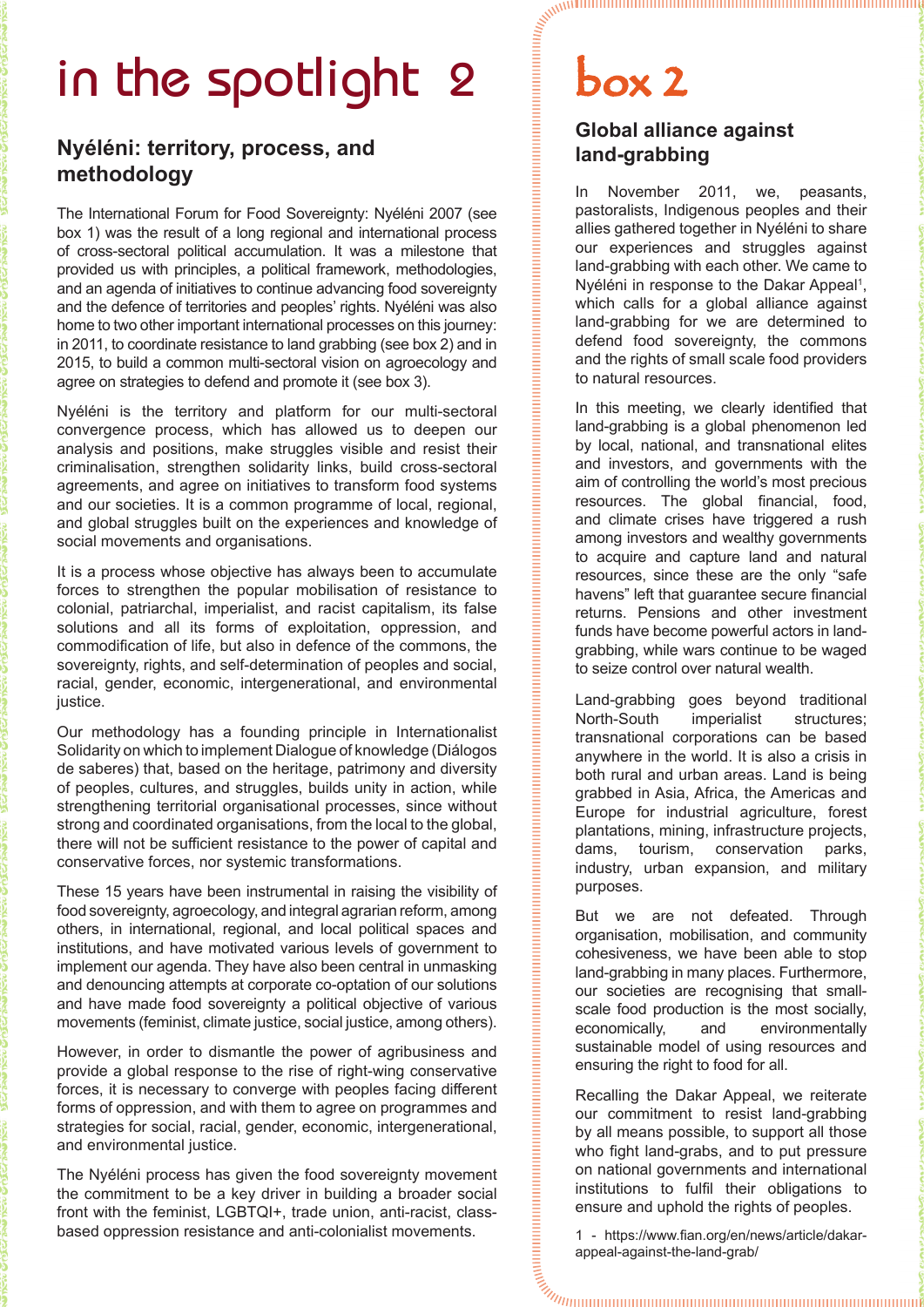# in the spotlight 2 box 2

#### **Nyéléni: territory, process, and methodology**

The International Forum for Food Sovereignty: Nyéléni 2007 (see box 1) was the result of a long regional and international process of cross-sectoral political accumulation. It was a milestone that provided us with principles, a political framework, methodologies, and an agenda of initiatives to continue advancing food sovereignty and the defence of territories and peoples' rights. Nyéléni was also home to two other important international processes on this journey: in 2011, to coordinate resistance to land grabbing (see box 2) and in 2015, to build a common multi-sectoral vision on agroecology and agree on strategies to defend and promote it (see box 3).

Nyéléni is the territory and platform for our multi-sectoral convergence process, which has allowed us to deepen our analysis and positions, make struggles visible and resist their criminalisation, strengthen solidarity links, build cross-sectoral agreements, and agree on initiatives to transform food systems and our societies. It is a common programme of local, regional, and global struggles built on the experiences and knowledge of social movements and organisations.

It is a process whose objective has always been to accumulate forces to strengthen the popular mobilisation of resistance to colonial, patriarchal, imperialist, and racist capitalism, its false solutions and all its forms of exploitation, oppression, and commodification of life, but also in defence of the commons, the sovereignty, rights, and self-determination of peoples and social, racial, gender, economic, intergenerational, and environmental justice.

Our methodology has a founding principle in Internationalist Solidarity on which to implement Dialogue of knowledge (Diálogos de saberes) that, based on the heritage, patrimony and diversity of peoples, cultures, and struggles, builds unity in action, while strengthening territorial organisational processes, since without strong and coordinated organisations, from the local to the global, there will not be sufficient resistance to the power of capital and conservative forces, nor systemic transformations.

These 15 years have been instrumental in raising the visibility of food sovereignty, agroecology, and integral agrarian reform, among others, in international, regional, and local political spaces and institutions, and have motivated various levels of government to implement our agenda. They have also been central in unmasking and denouncing attempts at corporate co-optation of our solutions and have made food sovereignty a political objective of various movements (feminist, climate justice, social justice, among others).

However, in order to dismantle the power of agribusiness and provide a global response to the rise of right-wing conservative forces, it is necessary to converge with peoples facing different forms of oppression, and with them to agree on programmes and strategies for social, racial, gender, economic, intergenerational, and environmental justice.

The Nyéléni process has given the food sovereignty movement the commitment to be a key driver in building a broader social front with the feminist, LGBTQI+, trade union, anti-racist, classbased oppression resistance and anti-colonialist movements.

#### **Global alliance against land-grabbing**

In November 2011, we, peasants, pastoralists, Indigenous peoples and their allies gathered together in Nyéléni to share our experiences and struggles against land-grabbing with each other. We came to Nyéléni in response to the Dakar Appeal<sup>1</sup>, which calls for a global alliance against land-grabbing for we are determined to defend food sovereignty, the commons and the rights of small scale food providers to natural resources.

In this meeting, we clearly identified that land-grabbing is a global phenomenon led by local, national, and transnational elites and investors, and governments with the aim of controlling the world's most precious resources. The global financial, food, and climate crises have triggered a rush among investors and wealthy governments to acquire and capture land and natural resources, since these are the only "safe havens" left that guarantee secure financial returns. Pensions and other investment funds have become powerful actors in landgrabbing, while wars continue to be waged to seize control over natural wealth.

Land-grabbing goes beyond traditional North-South imperialist structures; transnational corporations can be based anywhere in the world. It is also a crisis in both rural and urban areas. Land is being grabbed in Asia, Africa, the Americas and Europe for industrial agriculture, forest plantations, mining, infrastructure projects, dams, tourism, conservation parks, industry, urban expansion, and military purposes.

But we are not defeated. Through organisation, mobilisation, and community cohesiveness, we have been able to stop land-grabbing in many places. Furthermore, our societies are recognising that smallscale food production is the most socially, economically, and environmentally sustainable model of using resources and ensuring the right to food for all.

Recalling the Dakar Appeal, we reiterate our commitment to resist land-grabbing by all means possible, to support all those who fight land-grabs, and to put pressure on national governments and international institutions to fulfil their obligations to ensure and uphold the rights of peoples.

 $\mathcal{Q}$ 1 - https://www.fian.org/en/news/article/dakarappeal-against-the-land-grab/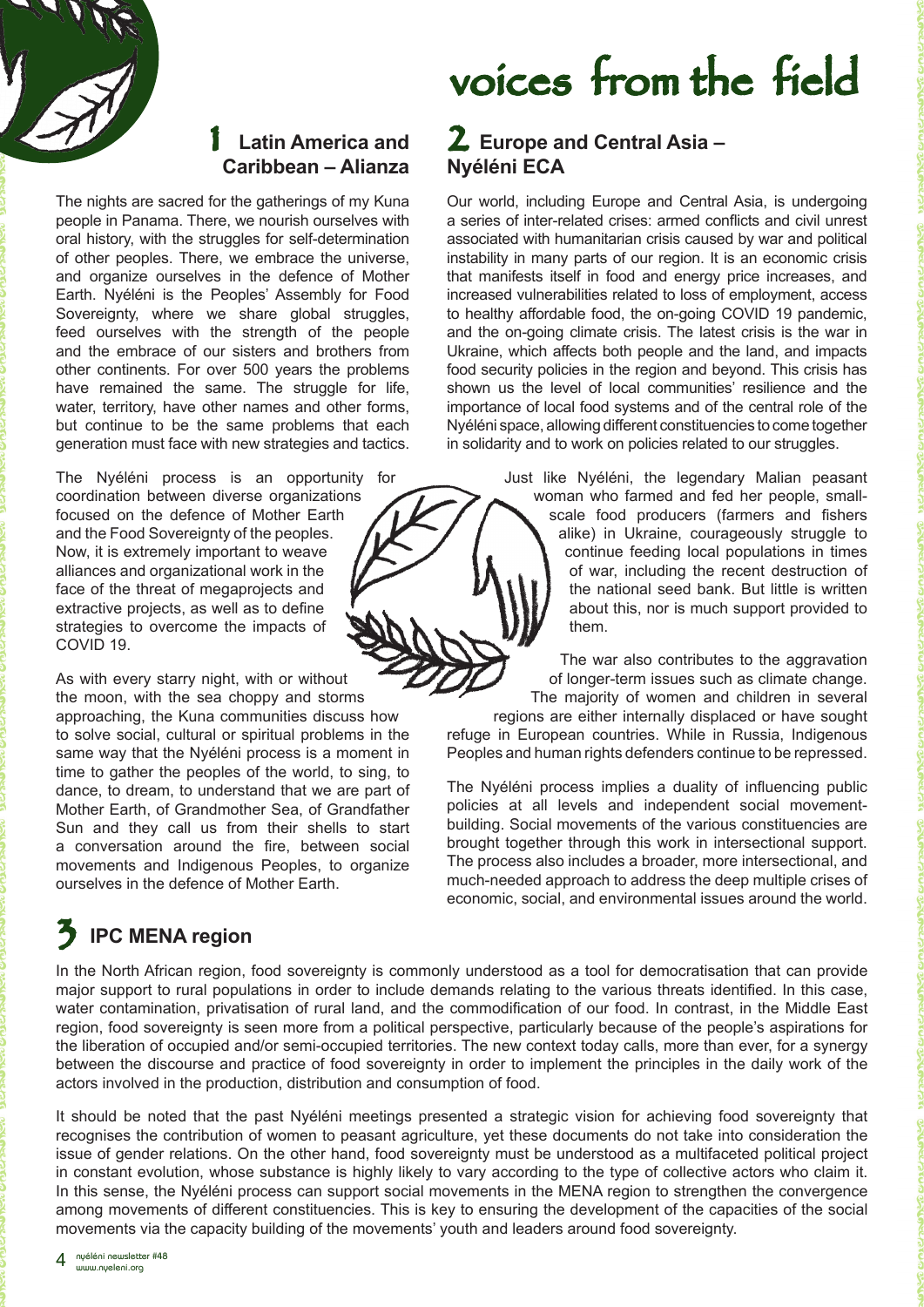

#### 1 **Latin America and Caribbean – Alianza**

The nights are sacred for the gatherings of my Kuna people in Panama. There, we nourish ourselves with oral history, with the struggles for self-determination of other peoples. There, we embrace the universe, and organize ourselves in the defence of Mother Earth. Nyéléni is the Peoples' Assembly for Food Sovereignty, where we share global struggles, feed ourselves with the strength of the people and the embrace of our sisters and brothers from other continents. For over 500 years the problems have remained the same. The struggle for life, water, territory, have other names and other forms. but continue to be the same problems that each generation must face with new strategies and tactics.

The Nyéléni process is an opportunity for coordination between diverse organizations focused on the defence of Mother Earth and the Food Sovereignty of the peoples. Now, it is extremely important to weave alliances and organizational work in the face of the threat of megaprojects and extractive projects, as well as to define strategies to overcome the impacts of COVID 19.

As with every starry night, with or without the moon, with the sea choppy and storms approaching, the Kuna communities discuss how to solve social, cultural or spiritual problems in the same way that the Nyéléni process is a moment in time to gather the peoples of the world, to sing, to dance, to dream, to understand that we are part of Mother Earth, of Grandmother Sea, of Grandfather Sun and they call us from their shells to start a conversation around the fire, between social movements and Indigenous Peoples, to organize ourselves in the defence of Mother Earth.

### **IPC MENA region**

# voices from the field

#### 2 **Europe and Central Asia – Nyéléni ECA**

Our world, including Europe and Central Asia, is undergoing a series of inter-related crises: armed conflicts and civil unrest associated with humanitarian crisis caused by war and political instability in many parts of our region. It is an economic crisis that manifests itself in food and energy price increases, and increased vulnerabilities related to loss of employment, access to healthy affordable food, the on-going COVID 19 pandemic, and the on-going climate crisis. The latest crisis is the war in Ukraine, which affects both people and the land, and impacts food security policies in the region and beyond. This crisis has shown us the level of local communities' resilience and the importance of local food systems and of the central role of the Nyéléni space, allowing different constituencies to come together in solidarity and to work on policies related to our struggles.

> Just like Nyéléni, the legendary Malian peasant woman who farmed and fed her people, smallscale food producers (farmers and fishers alike) in Ukraine, courageously struggle to continue feeding local populations in times of war, including the recent destruction of the national seed bank. But little is written about this, nor is much support provided to them.

The war also contributes to the aggravation of longer-term issues such as climate change. The majority of women and children in several regions are either internally displaced or have sought refuge in European countries. While in Russia, Indigenous Peoples and human rights defenders continue to be repressed.

The Nyéléni process implies a duality of influencing public policies at all levels and independent social movementbuilding. Social movements of the various constituencies are brought together through this work in intersectional support. The process also includes a broader, more intersectional, and much-needed approach to address the deep multiple crises of economic, social, and environmental issues around the world.

In the North African region, food sovereignty is commonly understood as a tool for democratisation that can provide major support to rural populations in order to include demands relating to the various threats identified. In this case, water contamination, privatisation of rural land, and the commodification of our food. In contrast, in the Middle East region, food sovereignty is seen more from a political perspective, particularly because of the people's aspirations for the liberation of occupied and/or semi-occupied territories. The new context today calls, more than ever, for a synergy between the discourse and practice of food sovereignty in order to implement the principles in the daily work of the actors involved in the production, distribution and consumption of food.

It should be noted that the past Nyéléni meetings presented a strategic vision for achieving food sovereignty that recognises the contribution of women to peasant agriculture, yet these documents do not take into consideration the issue of gender relations. On the other hand, food sovereignty must be understood as a multifaceted political project in constant evolution, whose substance is highly likely to vary according to the type of collective actors who claim it. In this sense, the Nyéléni process can support social movements in the MENA region to strengthen the convergence among movements of different constituencies. This is key to ensuring the development of the capacities of the social movements via the capacity building of the movements' youth and leaders around food sovereignty.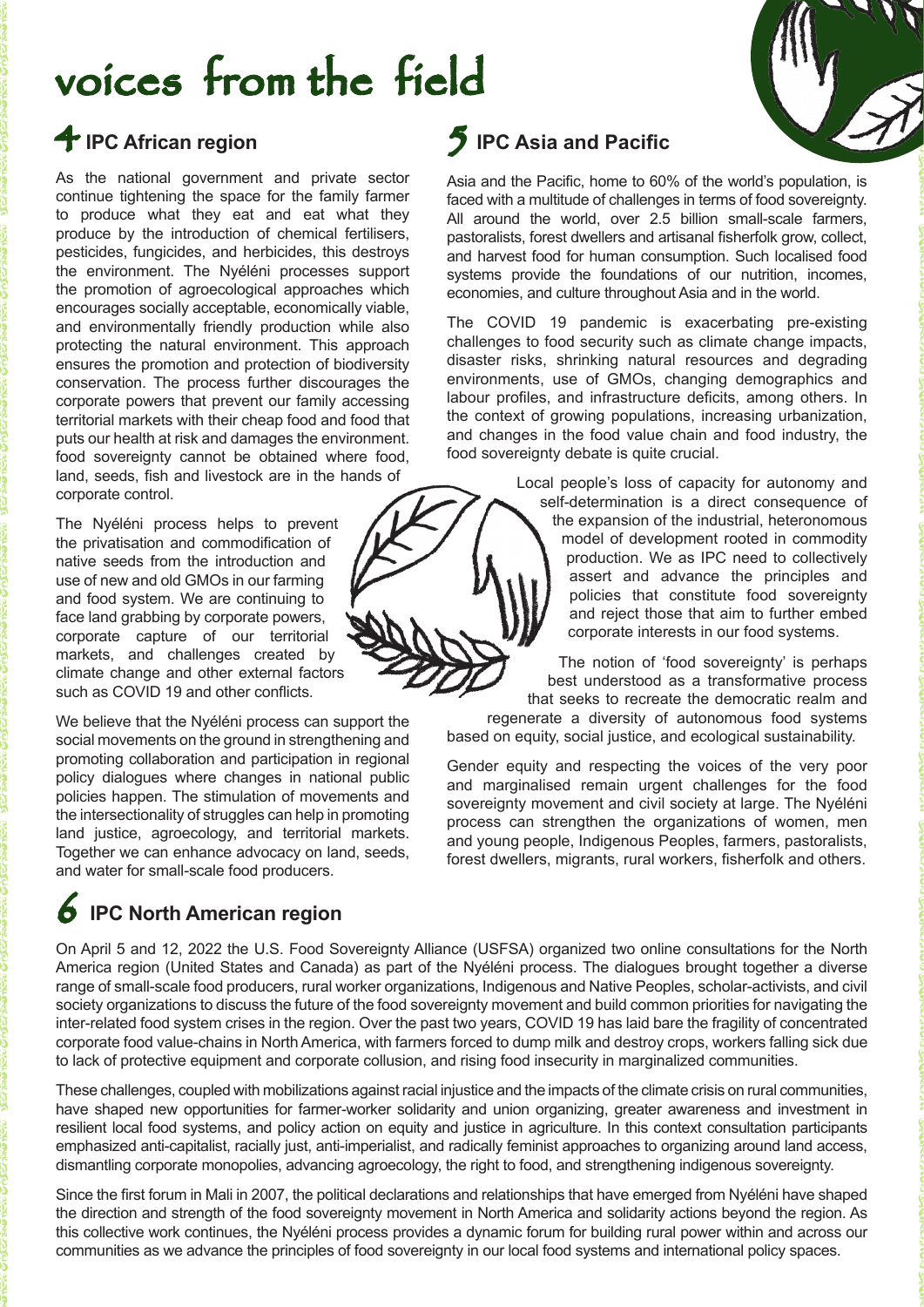# voices from the field

### 4 **IPC African region**

As the national government and private sector continue tightening the space for the family farmer to produce what they eat and eat what they produce by the introduction of chemical fertilisers, pesticides, fungicides, and herbicides, this destroys the environment. The Nyéléni processes support the promotion of agroecological approaches which encourages socially acceptable, economically viable, and environmentally friendly production while also protecting the natural environment. This approach ensures the promotion and protection of biodiversity conservation. The process further discourages the corporate powers that prevent our family accessing territorial markets with their cheap food and food that puts our health at risk and damages the environment. food sovereignty cannot be obtained where food, land, seeds, fish and livestock are in the hands of corporate control.

The Nyéléni process helps to prevent the privatisation and commodification of native seeds from the introduction and use of new and old GMOs in our farming and food system. We are continuing to face land grabbing by corporate powers, corporate capture of our territorial markets, and challenges created by climate change and other external factors such as COVID 19 and other conflicts.

We believe that the Nyéléni process can support the social movements on the ground in strengthening and promoting collaboration and participation in regional policy dialogues where changes in national public policies happen. The stimulation of movements and the intersectionality of struggles can help in promoting land justice, agroecology, and territorial markets. Together we can enhance advocacy on land, seeds, and water for small-scale food producers.

### 6 **IPC North American region**

#### 5 **IPC Asia and Pacific**

Asia and the Pacific, home to 60% of the world's population, is faced with a multitude of challenges in terms of food sovereignty. All around the world, over 2.5 billion small-scale farmers, pastoralists, forest dwellers and artisanal fisherfolk grow, collect, and harvest food for human consumption. Such localised food systems provide the foundations of our nutrition, incomes, economies, and culture throughout Asia and in the world.

The COVID 19 pandemic is exacerbating pre-existing challenges to food security such as climate change impacts, disaster risks, shrinking natural resources and degrading environments, use of GMOs, changing demographics and labour profiles, and infrastructure deficits, among others. In the context of growing populations, increasing urbanization, and changes in the food value chain and food industry, the food sovereignty debate is quite crucial.

> Local people's loss of capacity for autonomy and self-determination is a direct consequence of the expansion of the industrial, heteronomous model of development rooted in commodity production. We as IPC need to collectively assert and advance the principles and policies that constitute food sovereignty and reject those that aim to further embed corporate interests in our food systems.

> The notion of 'food sovereignty' is perhaps best understood as a transformative process that seeks to recreate the democratic realm and

regenerate a diversity of autonomous food systems based on equity, social justice, and ecological sustainability.

Gender equity and respecting the voices of the very poor and marginalised remain urgent challenges for the food sovereignty movement and civil society at large. The Nyéléni process can strengthen the organizations of women, men and young people, Indigenous Peoples, farmers, pastoralists, forest dwellers, migrants, rural workers, fisherfolk and others.

On April 5 and 12, 2022 the U.S. Food Sovereignty Alliance (USFSA) organized two online consultations for the North America region (United States and Canada) as part of the Nyéléni process. The dialogues brought together a diverse range of small-scale food producers, rural worker organizations, Indigenous and Native Peoples, scholar-activists, and civil society organizations to discuss the future of the food sovereignty movement and build common priorities for navigating the inter-related food system crises in the region. Over the past two years, COVID 19 has laid bare the fragility of concentrated corporate food value-chains in North America, with farmers forced to dump milk and destroy crops, workers falling sick due to lack of protective equipment and corporate collusion, and rising food insecurity in marginalized communities.

These challenges, coupled with mobilizations against racial injustice and the impacts of the climate crisis on rural communities, have shaped new opportunities for farmer-worker solidarity and union organizing, greater awareness and investment in resilient local food systems, and policy action on equity and justice in agriculture. In this context consultation participants emphasized anti-capitalist, racially just, anti-imperialist, and radically feminist approaches to organizing around land access, dismantling corporate monopolies, advancing agroecology, the right to food, and strengthening indigenous sovereignty.

communities as we advance the principles of food sovereignty in our local food systems and international policy spaces. Since the first forum in Mali in 2007, the political declarations and relationships that have emerged from Nyéléni have shaped the direction and strength of the food sovereignty movement in North America and solidarity actions beyond the region. As this collective work continues, the Nyéléni process provides a dynamic forum for building rural power within and across our